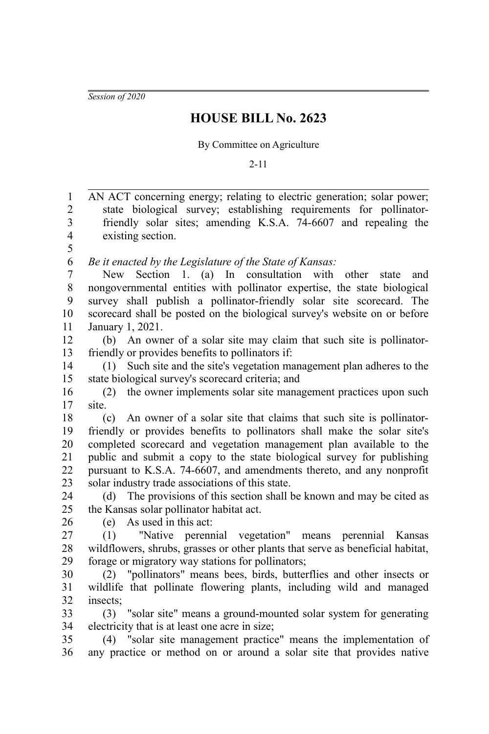*Session of 2020*

## **HOUSE BILL No. 2623**

## By Committee on Agriculture

2-11

| $\,1$                   | AN ACT concerning energy; relating to electric generation; solar power;        |
|-------------------------|--------------------------------------------------------------------------------|
| $\overline{c}$          | state biological survey; establishing requirements for pollinator-             |
| $\overline{\mathbf{3}}$ | friendly solar sites; amending K.S.A. 74-6607 and repealing the                |
| $\overline{\mathbf{4}}$ | existing section.                                                              |
| 5                       |                                                                                |
| 6                       | Be it enacted by the Legislature of the State of Kansas:                       |
| $\overline{7}$          | Section 1. (a) In consultation with<br>New<br>other<br>and<br>state            |
| $8\,$                   | nongovernmental entities with pollinator expertise, the state biological       |
| 9                       | survey shall publish a pollinator-friendly solar site scorecard. The           |
| 10                      | scorecard shall be posted on the biological survey's website on or before      |
| 11                      | January 1, 2021.                                                               |
| 12                      | (b) An owner of a solar site may claim that such site is pollinator-           |
| 13                      | friendly or provides benefits to pollinators if:                               |
| 14                      | (1) Such site and the site's vegetation management plan adheres to the         |
| 15                      | state biological survey's scorecard criteria; and                              |
| 16                      | (2) the owner implements solar site management practices upon such             |
| 17                      | site.                                                                          |
| 18                      | (c) An owner of a solar site that claims that such site is pollinator-         |
| 19                      | friendly or provides benefits to pollinators shall make the solar site's       |
| 20                      | completed scorecard and vegetation management plan available to the            |
| 21                      | public and submit a copy to the state biological survey for publishing         |
| 22                      | pursuant to K.S.A. 74-6607, and amendments thereto, and any nonprofit          |
| 23                      | solar industry trade associations of this state.                               |
| 24                      | The provisions of this section shall be known and may be cited as<br>(d)       |
| 25                      | the Kansas solar pollinator habitat act.                                       |
| 26                      | As used in this act:<br>(e)                                                    |
| 27                      | "Native perennial vegetation" means perennial Kansas<br>(1)                    |
| 28                      | wildflowers, shrubs, grasses or other plants that serve as beneficial habitat, |
| 29                      | forage or migratory way stations for pollinators;                              |
| 30                      | (2) "pollinators" means bees, birds, butterflies and other insects or          |
| 31                      | wildlife that pollinate flowering plants, including wild and managed           |
| 32                      | insects;                                                                       |
| 33                      | "solar site" means a ground-mounted solar system for generating<br>(3)         |
| 34                      | electricity that is at least one acre in size;                                 |
| 35                      | (4) "solar site management practice" means the implementation of               |
| 36                      | any practice or method on or around a solar site that provides native          |
|                         |                                                                                |